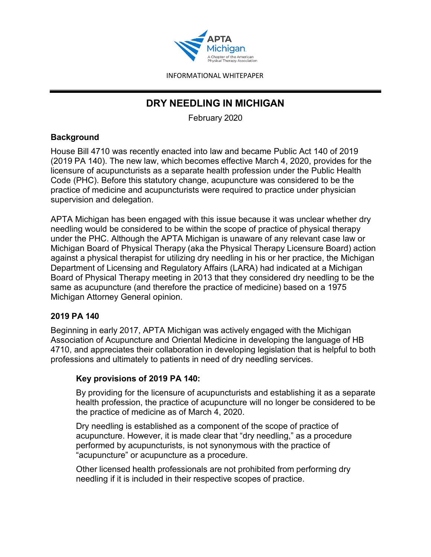

# **DRY NEEDLING IN MICHIGAN**

February 2020

## **Background**

House Bill 4710 was recently enacted into law and became Public Act 140 of 2019 (2019 PA 140). The new law, which becomes effective March 4, 2020, provides for the licensure of acupuncturists as a separate health profession under the Public Health Code (PHC). Before this statutory change, acupuncture was considered to be the practice of medicine and acupuncturists were required to practice under physician supervision and delegation.

APTA Michigan has been engaged with this issue because it was unclear whether dry needling would be considered to be within the scope of practice of physical therapy under the PHC. Although the APTA Michigan is unaware of any relevant case law or Michigan Board of Physical Therapy (aka the Physical Therapy Licensure Board) action against a physical therapist for utilizing dry needling in his or her practice, the Michigan Department of Licensing and Regulatory Affairs (LARA) had indicated at a Michigan Board of Physical Therapy meeting in 2013 that they considered dry needling to be the same as acupuncture (and therefore the practice of medicine) based on a 1975 Michigan Attorney General opinion.

# **2019 PA 140**

Beginning in early 2017, APTA Michigan was actively engaged with the Michigan Association of Acupuncture and Oriental Medicine in developing the language of HB 4710, and appreciates their collaboration in developing legislation that is helpful to both professions and ultimately to patients in need of dry needling services.

# **Key provisions of 2019 PA 140:**

By providing for the licensure of acupuncturists and establishing it as a separate health profession, the practice of acupuncture will no longer be considered to be the practice of medicine as of March 4, 2020.

Dry needling is established as a component of the scope of practice of acupuncture. However, it is made clear that "dry needling," as a procedure performed by acupuncturists, is not synonymous with the practice of "acupuncture" or acupuncture as a procedure.

Other licensed health professionals are not prohibited from performing dry needling if it is included in their respective scopes of practice.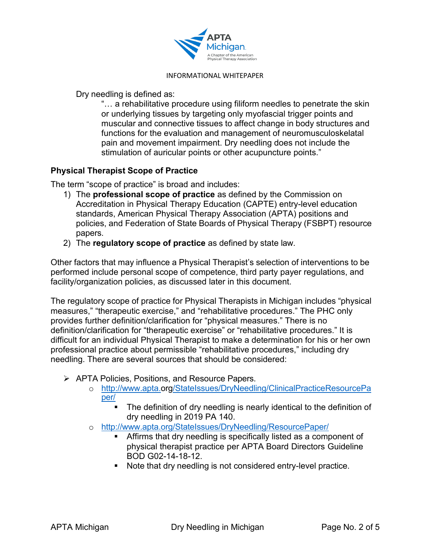

Dry needling is defined as:

"… a rehabilitative procedure using filiform needles to penetrate the skin or underlying tissues by targeting only myofascial trigger points and muscular and connective tissues to affect change in body structures and functions for the evaluation and management of neuromusculoskelatal pain and movement impairment. Dry needling does not include the stimulation of auricular points or other acupuncture points."

## **Physical Therapist Scope of Practice**

The term "scope of practice" is broad and includes:

- 1) The **professional scope of practice** as defined by the Commission on Accreditation in Physical Therapy Education (CAPTE) entry-level education standards, American Physical Therapy Association (APTA) positions and policies, and Federation of State Boards of Physical Therapy (FSBPT) resource papers.
- 2) The **regulatory scope of practice** as defined by state law.

Other factors that may influence a Physical Therapist's selection of interventions to be performed include personal scope of competence, third party payer regulations, and facility/organization policies, as discussed later in this document.

The regulatory scope of practice for Physical Therapists in Michigan includes "physical measures," "therapeutic exercise," and "rehabilitative procedures." The PHC only provides further definition/clarification for "physical measures." There is no definition/clarification for "therapeutic exercise" or "rehabilitative procedures." It is difficult for an individual Physical Therapist to make a determination for his or her own professional practice about permissible "rehabilitative procedures," including dry needling. There are several sources that should be considered:

- APTA Policies, Positions, and Resource Papers.
	- o [http://www.apta.org/StateIssues/DryNeedling/ClinicalPracticeResourcePa](http://www.apta.org/StateIssues/DryNeedling/ClinicalPracticeResourcePaper/) [per/](http://www.apta.org/StateIssues/DryNeedling/ClinicalPracticeResourcePaper/)
		- The definition of dry needling is nearly identical to the definition of dry needling in 2019 PA 140.
	- o <http://www.apta.org/StateIssues/DryNeedling/ResourcePaper/>
		- Affirms that dry needling is specifically listed as a component of physical therapist practice per APTA Board Directors Guideline BOD G02-14-18-12.
		- Note that dry needling is not considered entry-level practice.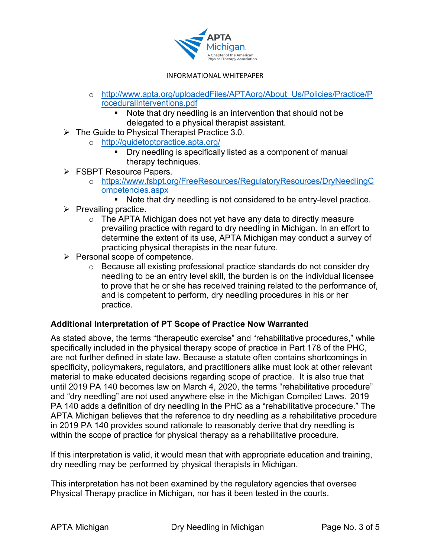

- o [http://www.apta.org/uploadedFiles/APTAorg/About\\_Us/Policies/Practice/P](http://www.apta.org/uploadedFiles/APTAorg/About_Us/Policies/Practice/ProceduralInterventions.pdf) [roceduralInterventions.pdf](http://www.apta.org/uploadedFiles/APTAorg/About_Us/Policies/Practice/ProceduralInterventions.pdf)
	- Note that dry needling is an intervention that should not be delegated to a physical therapist assistant.
- $\triangleright$  The Guide to Physical Therapist Practice 3.0.
	- o <http://guidetoptpractice.apta.org/>
		- **Dry needling is specifically listed as a component of manual** therapy techniques.
- **FSBPT Resource Papers.** 
	- o [https://www.fsbpt.org/FreeResources/RegulatoryResources/DryNeedlingC](https://www.fsbpt.org/FreeResources/RegulatoryResources/DryNeedlingCompetencies.aspx) [ompetencies.aspx](https://www.fsbpt.org/FreeResources/RegulatoryResources/DryNeedlingCompetencies.aspx)
		- Note that dry needling is not considered to be entry-level practice.
- $\triangleright$  Prevailing practice.
	- o The APTA Michigan does not yet have any data to directly measure prevailing practice with regard to dry needling in Michigan. In an effort to determine the extent of its use, APTA Michigan may conduct a survey of practicing physical therapists in the near future.
- $\triangleright$  Personal scope of competence.
	- o Because all existing professional practice standards do not consider dry needling to be an entry level skill, the burden is on the individual licensee to prove that he or she has received training related to the performance of, and is competent to perform, dry needling procedures in his or her practice.

### **Additional Interpretation of PT Scope of Practice Now Warranted**

As stated above, the terms "therapeutic exercise" and "rehabilitative procedures," while specifically included in the physical therapy scope of practice in Part 178 of the PHC, are not further defined in state law. Because a statute often contains shortcomings in specificity, policymakers, regulators, and practitioners alike must look at other relevant material to make educated decisions regarding scope of practice. It is also true that until 2019 PA 140 becomes law on March 4, 2020, the terms "rehabilitative procedure" and "dry needling" are not used anywhere else in the Michigan Compiled Laws. 2019 PA 140 adds a definition of dry needling in the PHC as a "rehabilitative procedure." The APTA Michigan believes that the reference to dry needling as a rehabilitative procedure in 2019 PA 140 provides sound rationale to reasonably derive that dry needling is within the scope of practice for physical therapy as a rehabilitative procedure.

If this interpretation is valid, it would mean that with appropriate education and training, dry needling may be performed by physical therapists in Michigan.

This interpretation has not been examined by the regulatory agencies that oversee Physical Therapy practice in Michigan, nor has it been tested in the courts.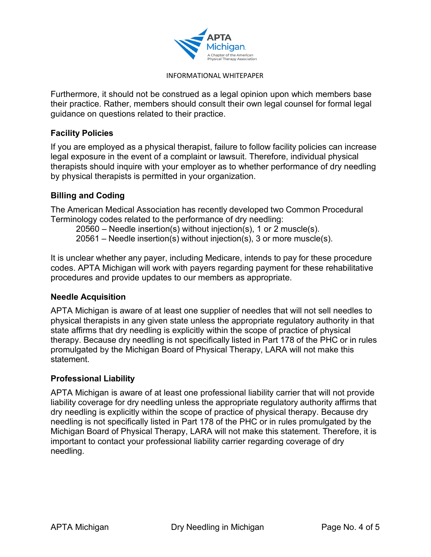

Furthermore, it should not be construed as a legal opinion upon which members base their practice. Rather, members should consult their own legal counsel for formal legal guidance on questions related to their practice.

#### **Facility Policies**

If you are employed as a physical therapist, failure to follow facility policies can increase legal exposure in the event of a complaint or lawsuit. Therefore, individual physical therapists should inquire with your employer as to whether performance of dry needling by physical therapists is permitted in your organization.

### **Billing and Coding**

The American Medical Association has recently developed two Common Procedural Terminology codes related to the performance of dry needling:

20560 – Needle insertion(s) without injection(s), 1 or 2 muscle(s).

20561 – Needle insertion(s) without injection(s), 3 or more muscle(s).

It is unclear whether any payer, including Medicare, intends to pay for these procedure codes. APTA Michigan will work with payers regarding payment for these rehabilitative procedures and provide updates to our members as appropriate.

### **Needle Acquisition**

APTA Michigan is aware of at least one supplier of needles that will not sell needles to physical therapists in any given state unless the appropriate regulatory authority in that state affirms that dry needling is explicitly within the scope of practice of physical therapy. Because dry needling is not specifically listed in Part 178 of the PHC or in rules promulgated by the Michigan Board of Physical Therapy, LARA will not make this statement.

### **Professional Liability**

APTA Michigan is aware of at least one professional liability carrier that will not provide liability coverage for dry needling unless the appropriate regulatory authority affirms that dry needling is explicitly within the scope of practice of physical therapy. Because dry needling is not specifically listed in Part 178 of the PHC or in rules promulgated by the Michigan Board of Physical Therapy, LARA will not make this statement. Therefore, it is important to contact your professional liability carrier regarding coverage of dry needling.